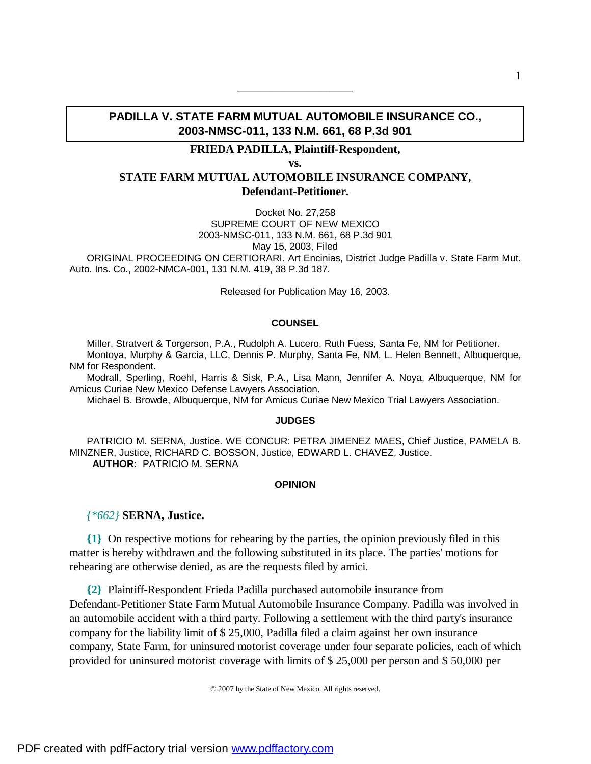# **PADILLA V. STATE FARM MUTUAL AUTOMOBILE INSURANCE CO., 2003-NMSC-011, 133 N.M. 661, 68 P.3d 901**

——————————

# **FRIEDA PADILLA, Plaintiff-Respondent,**

**vs.**

# **STATE FARM MUTUAL AUTOMOBILE INSURANCE COMPANY, Defendant-Petitioner.**

Docket No. 27,258 SUPREME COURT OF NEW MEXICO 2003-NMSC-011, 133 N.M. 661, 68 P.3d 901 May 15, 2003, Filed ORIGINAL PROCEEDING ON CERTIORARI. Art Encinias, District Judge Padilla v. State Farm Mut. Auto. Ins. Co., 2002-NMCA-001, 131 N.M. 419, 38 P.3d 187.

Released for Publication May 16, 2003.

#### **COUNSEL**

Miller, Stratvert & Torgerson, P.A., Rudolph A. Lucero, Ruth Fuess, Santa Fe, NM for Petitioner. Montoya, Murphy & Garcia, LLC, Dennis P. Murphy, Santa Fe, NM, L. Helen Bennett, Albuquerque, NM for Respondent.

Modrall, Sperling, Roehl, Harris & Sisk, P.A., Lisa Mann, Jennifer A. Noya, Albuquerque, NM for Amicus Curiae New Mexico Defense Lawyers Association.

Michael B. Browde, Albuquerque, NM for Amicus Curiae New Mexico Trial Lawyers Association.

#### **JUDGES**

PATRICIO M. SERNA, Justice. WE CONCUR: PETRA JIMENEZ MAES, Chief Justice, PAMELA B. MINZNER, Justice, RICHARD C. BOSSON, Justice, EDWARD L. CHAVEZ, Justice.  **AUTHOR:** PATRICIO M. SERNA

### **OPINION**

### *{\*662}* **SERNA, Justice.**

**{1}** On respective motions for rehearing by the parties, the opinion previously filed in this matter is hereby withdrawn and the following substituted in its place. The parties' motions for rehearing are otherwise denied, as are the requests filed by amici.

**{2}** Plaintiff-Respondent Frieda Padilla purchased automobile insurance from Defendant-Petitioner State Farm Mutual Automobile Insurance Company. Padilla was involved in an automobile accident with a third party. Following a settlement with the third party's insurance company for the liability limit of \$ 25,000, Padilla filed a claim against her own insurance company, State Farm, for uninsured motorist coverage under four separate policies, each of which provided for uninsured motorist coverage with limits of \$ 25,000 per person and \$ 50,000 per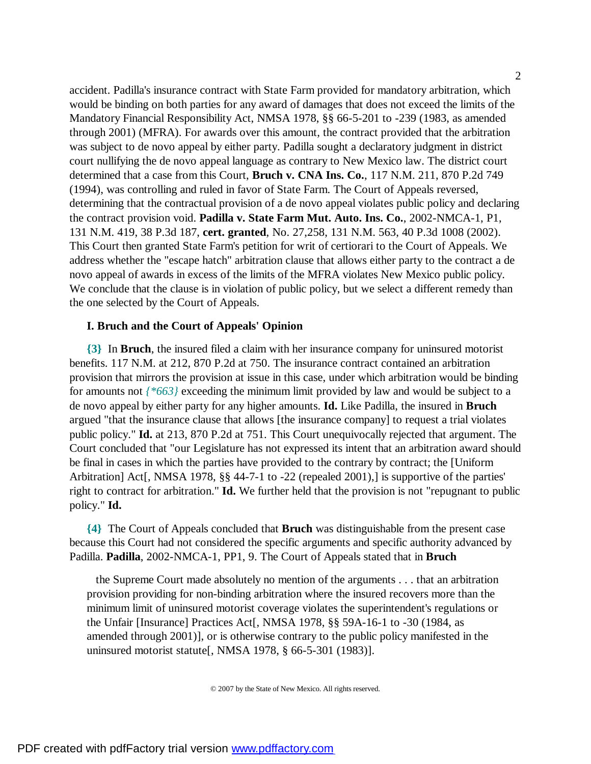accident. Padilla's insurance contract with State Farm provided for mandatory arbitration, which would be binding on both parties for any award of damages that does not exceed the limits of the Mandatory Financial Responsibility Act, NMSA 1978, §§ 66-5-201 to -239 (1983, as amended through 2001) (MFRA). For awards over this amount, the contract provided that the arbitration was subject to de novo appeal by either party. Padilla sought a declaratory judgment in district court nullifying the de novo appeal language as contrary to New Mexico law. The district court determined that a case from this Court, **Bruch v. CNA Ins. Co.**, 117 N.M. 211, 870 P.2d 749 (1994), was controlling and ruled in favor of State Farm. The Court of Appeals reversed, determining that the contractual provision of a de novo appeal violates public policy and declaring the contract provision void. **Padilla v. State Farm Mut. Auto. Ins. Co.**, 2002-NMCA-1, P1, 131 N.M. 419, 38 P.3d 187, **cert. granted**, No. 27,258, 131 N.M. 563, 40 P.3d 1008 (2002). This Court then granted State Farm's petition for writ of certiorari to the Court of Appeals. We address whether the "escape hatch" arbitration clause that allows either party to the contract a de novo appeal of awards in excess of the limits of the MFRA violates New Mexico public policy. We conclude that the clause is in violation of public policy, but we select a different remedy than the one selected by the Court of Appeals.

## **I. Bruch and the Court of Appeals' Opinion**

**{3}** In **Bruch**, the insured filed a claim with her insurance company for uninsured motorist benefits. 117 N.M. at 212, 870 P.2d at 750. The insurance contract contained an arbitration provision that mirrors the provision at issue in this case, under which arbitration would be binding for amounts not *{\*663}* exceeding the minimum limit provided by law and would be subject to a de novo appeal by either party for any higher amounts. **Id.** Like Padilla, the insured in **Bruch** argued "that the insurance clause that allows [the insurance company] to request a trial violates public policy." **Id.** at 213, 870 P.2d at 751. This Court unequivocally rejected that argument. The Court concluded that "our Legislature has not expressed its intent that an arbitration award should be final in cases in which the parties have provided to the contrary by contract; the [Uniform Arbitration] Act[, NMSA 1978, §§ 44-7-1 to -22 (repealed 2001),] is supportive of the parties' right to contract for arbitration." **Id.** We further held that the provision is not "repugnant to public policy." **Id.**

**{4}** The Court of Appeals concluded that **Bruch** was distinguishable from the present case because this Court had not considered the specific arguments and specific authority advanced by Padilla. **Padilla**, 2002-NMCA-1, PP1, 9. The Court of Appeals stated that in **Bruch**

 the Supreme Court made absolutely no mention of the arguments . . . that an arbitration provision providing for non-binding arbitration where the insured recovers more than the minimum limit of uninsured motorist coverage violates the superintendent's regulations or the Unfair [Insurance] Practices Act[, NMSA 1978, §§ 59A-16-1 to -30 (1984, as amended through 2001)], or is otherwise contrary to the public policy manifested in the uninsured motorist statute[, NMSA 1978, § 66-5-301 (1983)].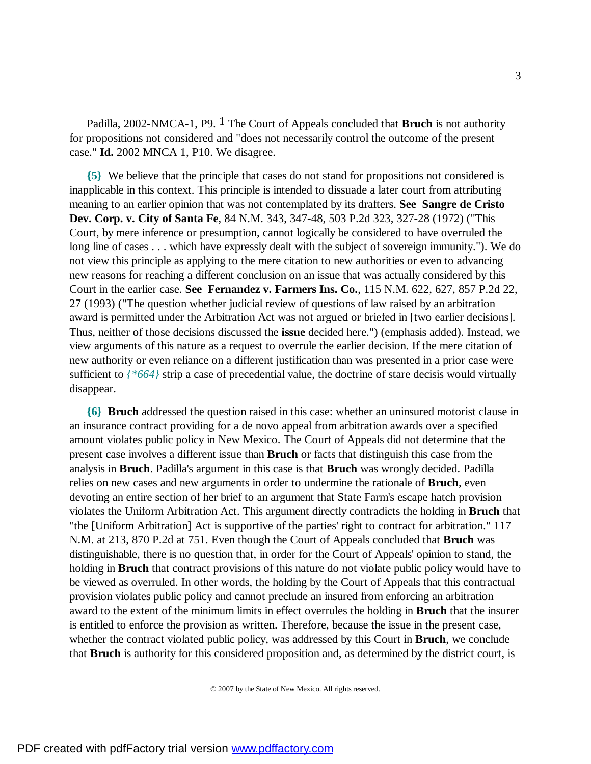Padilla, 2002-NMCA-1, P9. 1 The Court of Appeals concluded that **Bruch** is not authority for propositions not considered and "does not necessarily control the outcome of the present case." **Id.** 2002 MNCA 1, P10. We disagree.

**{5}** We believe that the principle that cases do not stand for propositions not considered is inapplicable in this context. This principle is intended to dissuade a later court from attributing meaning to an earlier opinion that was not contemplated by its drafters. **See Sangre de Cristo Dev. Corp. v. City of Santa Fe**, 84 N.M. 343, 347-48, 503 P.2d 323, 327-28 (1972) ("This Court, by mere inference or presumption, cannot logically be considered to have overruled the long line of cases . . . which have expressly dealt with the subject of sovereign immunity."). We do not view this principle as applying to the mere citation to new authorities or even to advancing new reasons for reaching a different conclusion on an issue that was actually considered by this Court in the earlier case. **See Fernandez v. Farmers Ins. Co.**, 115 N.M. 622, 627, 857 P.2d 22, 27 (1993) ("The question whether judicial review of questions of law raised by an arbitration award is permitted under the Arbitration Act was not argued or briefed in [two earlier decisions]. Thus, neither of those decisions discussed the **issue** decided here.") (emphasis added). Instead, we view arguments of this nature as a request to overrule the earlier decision. If the mere citation of new authority or even reliance on a different justification than was presented in a prior case were sufficient to *{\*664}* strip a case of precedential value, the doctrine of stare decisis would virtually disappear.

**{6} Bruch** addressed the question raised in this case: whether an uninsured motorist clause in an insurance contract providing for a de novo appeal from arbitration awards over a specified amount violates public policy in New Mexico. The Court of Appeals did not determine that the present case involves a different issue than **Bruch** or facts that distinguish this case from the analysis in **Bruch**. Padilla's argument in this case is that **Bruch** was wrongly decided. Padilla relies on new cases and new arguments in order to undermine the rationale of **Bruch**, even devoting an entire section of her brief to an argument that State Farm's escape hatch provision violates the Uniform Arbitration Act. This argument directly contradicts the holding in **Bruch** that "the [Uniform Arbitration] Act is supportive of the parties' right to contract for arbitration." 117 N.M. at 213, 870 P.2d at 751. Even though the Court of Appeals concluded that **Bruch** was distinguishable, there is no question that, in order for the Court of Appeals' opinion to stand, the holding in **Bruch** that contract provisions of this nature do not violate public policy would have to be viewed as overruled. In other words, the holding by the Court of Appeals that this contractual provision violates public policy and cannot preclude an insured from enforcing an arbitration award to the extent of the minimum limits in effect overrules the holding in **Bruch** that the insurer is entitled to enforce the provision as written. Therefore, because the issue in the present case, whether the contract violated public policy, was addressed by this Court in **Bruch**, we conclude that **Bruch** is authority for this considered proposition and, as determined by the district court, is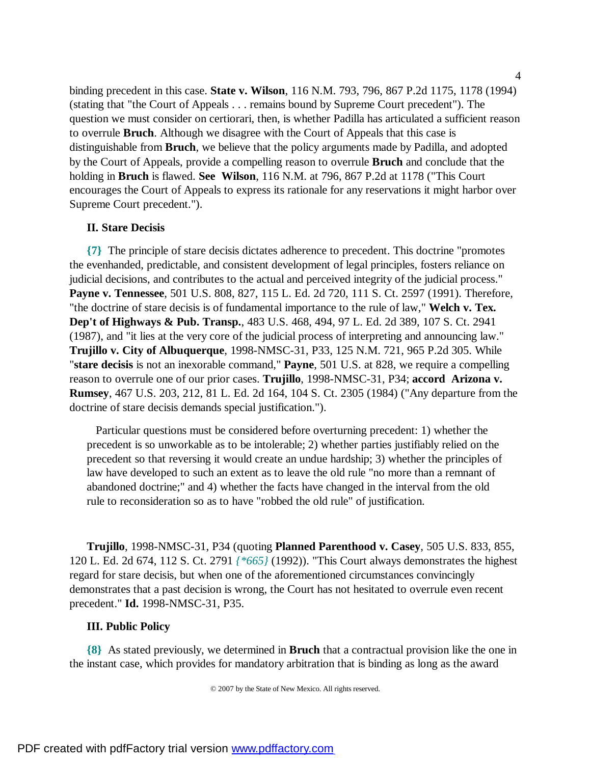binding precedent in this case. **State v. Wilson**, 116 N.M. 793, 796, 867 P.2d 1175, 1178 (1994) (stating that "the Court of Appeals . . . remains bound by Supreme Court precedent"). The question we must consider on certiorari, then, is whether Padilla has articulated a sufficient reason to overrule **Bruch**. Although we disagree with the Court of Appeals that this case is distinguishable from **Bruch**, we believe that the policy arguments made by Padilla, and adopted by the Court of Appeals, provide a compelling reason to overrule **Bruch** and conclude that the holding in **Bruch** is flawed. **See Wilson**, 116 N.M. at 796, 867 P.2d at 1178 ("This Court encourages the Court of Appeals to express its rationale for any reservations it might harbor over Supreme Court precedent.").

## **II. Stare Decisis**

**{7}** The principle of stare decisis dictates adherence to precedent. This doctrine "promotes the evenhanded, predictable, and consistent development of legal principles, fosters reliance on judicial decisions, and contributes to the actual and perceived integrity of the judicial process." **Payne v. Tennessee**, 501 U.S. 808, 827, 115 L. Ed. 2d 720, 111 S. Ct. 2597 (1991). Therefore, "the doctrine of stare decisis is of fundamental importance to the rule of law," **Welch v. Tex. Dep't of Highways & Pub. Transp.**, 483 U.S. 468, 494, 97 L. Ed. 2d 389, 107 S. Ct. 2941 (1987), and "it lies at the very core of the judicial process of interpreting and announcing law." **Trujillo v. City of Albuquerque**, 1998-NMSC-31, P33, 125 N.M. 721, 965 P.2d 305. While "**stare decisis** is not an inexorable command," **Payne**, 501 U.S. at 828, we require a compelling reason to overrule one of our prior cases. **Trujillo**, 1998-NMSC-31, P34; **accord Arizona v. Rumsey**, 467 U.S. 203, 212, 81 L. Ed. 2d 164, 104 S. Ct. 2305 (1984) ("Any departure from the doctrine of stare decisis demands special justification.").

 Particular questions must be considered before overturning precedent: 1) whether the precedent is so unworkable as to be intolerable; 2) whether parties justifiably relied on the precedent so that reversing it would create an undue hardship; 3) whether the principles of law have developed to such an extent as to leave the old rule "no more than a remnant of abandoned doctrine;" and 4) whether the facts have changed in the interval from the old rule to reconsideration so as to have "robbed the old rule" of justification.

**Trujillo**, 1998-NMSC-31, P34 (quoting **Planned Parenthood v. Casey**, 505 U.S. 833, 855, 120 L. Ed. 2d 674, 112 S. Ct. 2791 *{\*665}* (1992)). "This Court always demonstrates the highest regard for stare decisis, but when one of the aforementioned circumstances convincingly demonstrates that a past decision is wrong, the Court has not hesitated to overrule even recent precedent." **Id.** 1998-NMSC-31, P35.

### **III. Public Policy**

**{8}** As stated previously, we determined in **Bruch** that a contractual provision like the one in the instant case, which provides for mandatory arbitration that is binding as long as the award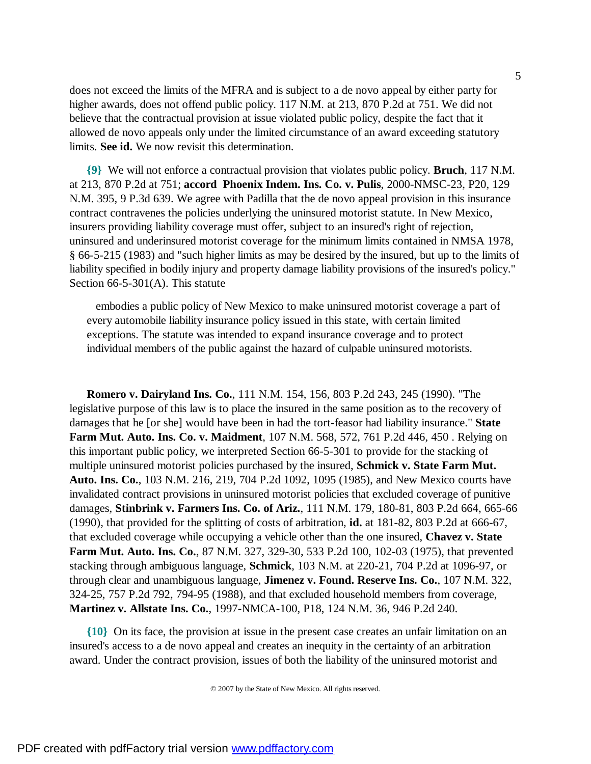does not exceed the limits of the MFRA and is subject to a de novo appeal by either party for higher awards, does not offend public policy. 117 N.M. at 213, 870 P.2d at 751. We did not believe that the contractual provision at issue violated public policy, despite the fact that it allowed de novo appeals only under the limited circumstance of an award exceeding statutory limits. **See id.** We now revisit this determination.

**{9}** We will not enforce a contractual provision that violates public policy. **Bruch**, 117 N.M. at 213, 870 P.2d at 751; **accord Phoenix Indem. Ins. Co. v. Pulis**, 2000-NMSC-23, P20, 129 N.M. 395, 9 P.3d 639. We agree with Padilla that the de novo appeal provision in this insurance contract contravenes the policies underlying the uninsured motorist statute. In New Mexico, insurers providing liability coverage must offer, subject to an insured's right of rejection, uninsured and underinsured motorist coverage for the minimum limits contained in NMSA 1978, § 66-5-215 (1983) and "such higher limits as may be desired by the insured, but up to the limits of liability specified in bodily injury and property damage liability provisions of the insured's policy." Section 66-5-301(A). This statute

 embodies a public policy of New Mexico to make uninsured motorist coverage a part of every automobile liability insurance policy issued in this state, with certain limited exceptions. The statute was intended to expand insurance coverage and to protect individual members of the public against the hazard of culpable uninsured motorists.

**Romero v. Dairyland Ins. Co.**, 111 N.M. 154, 156, 803 P.2d 243, 245 (1990). "The legislative purpose of this law is to place the insured in the same position as to the recovery of damages that he [or she] would have been in had the tort-feasor had liability insurance." **State Farm Mut. Auto. Ins. Co. v. Maidment**, 107 N.M. 568, 572, 761 P.2d 446, 450 . Relying on this important public policy, we interpreted Section 66-5-301 to provide for the stacking of multiple uninsured motorist policies purchased by the insured, **Schmick v. State Farm Mut. Auto. Ins. Co.**, 103 N.M. 216, 219, 704 P.2d 1092, 1095 (1985), and New Mexico courts have invalidated contract provisions in uninsured motorist policies that excluded coverage of punitive damages, **Stinbrink v. Farmers Ins. Co. of Ariz.**, 111 N.M. 179, 180-81, 803 P.2d 664, 665-66 (1990), that provided for the splitting of costs of arbitration, **id.** at 181-82, 803 P.2d at 666-67, that excluded coverage while occupying a vehicle other than the one insured, **Chavez v. State Farm Mut. Auto. Ins. Co.**, 87 N.M. 327, 329-30, 533 P.2d 100, 102-03 (1975), that prevented stacking through ambiguous language, **Schmick**, 103 N.M. at 220-21, 704 P.2d at 1096-97, or through clear and unambiguous language, **Jimenez v. Found. Reserve Ins. Co.**, 107 N.M. 322, 324-25, 757 P.2d 792, 794-95 (1988), and that excluded household members from coverage, **Martinez v. Allstate Ins. Co.**, 1997-NMCA-100, P18, 124 N.M. 36, 946 P.2d 240.

**{10}** On its face, the provision at issue in the present case creates an unfair limitation on an insured's access to a de novo appeal and creates an inequity in the certainty of an arbitration award. Under the contract provision, issues of both the liability of the uninsured motorist and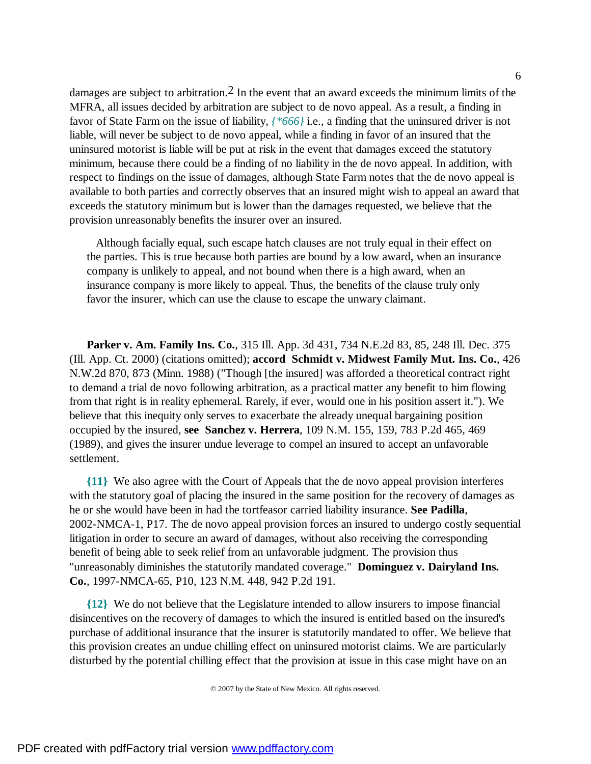damages are subject to arbitration.<sup>2</sup> In the event that an award exceeds the minimum limits of the MFRA, all issues decided by arbitration are subject to de novo appeal. As a result, a finding in favor of State Farm on the issue of liability, *{\*666}* i.e., a finding that the uninsured driver is not liable, will never be subject to de novo appeal, while a finding in favor of an insured that the uninsured motorist is liable will be put at risk in the event that damages exceed the statutory minimum, because there could be a finding of no liability in the de novo appeal. In addition, with respect to findings on the issue of damages, although State Farm notes that the de novo appeal is available to both parties and correctly observes that an insured might wish to appeal an award that exceeds the statutory minimum but is lower than the damages requested, we believe that the provision unreasonably benefits the insurer over an insured.

 Although facially equal, such escape hatch clauses are not truly equal in their effect on the parties. This is true because both parties are bound by a low award, when an insurance company is unlikely to appeal, and not bound when there is a high award, when an insurance company is more likely to appeal. Thus, the benefits of the clause truly only favor the insurer, which can use the clause to escape the unwary claimant.

**Parker v. Am. Family Ins. Co.**, 315 Ill. App. 3d 431, 734 N.E.2d 83, 85, 248 Ill. Dec. 375 (Ill. App. Ct. 2000) (citations omitted); **accord Schmidt v. Midwest Family Mut. Ins. Co.**, 426 N.W.2d 870, 873 (Minn. 1988) ("Though [the insured] was afforded a theoretical contract right to demand a trial de novo following arbitration, as a practical matter any benefit to him flowing from that right is in reality ephemeral. Rarely, if ever, would one in his position assert it."). We believe that this inequity only serves to exacerbate the already unequal bargaining position occupied by the insured, **see Sanchez v. Herrera**, 109 N.M. 155, 159, 783 P.2d 465, 469 (1989), and gives the insurer undue leverage to compel an insured to accept an unfavorable settlement.

**{11}** We also agree with the Court of Appeals that the de novo appeal provision interferes with the statutory goal of placing the insured in the same position for the recovery of damages as he or she would have been in had the tortfeasor carried liability insurance. **See Padilla**, 2002-NMCA-1, P17. The de novo appeal provision forces an insured to undergo costly sequential litigation in order to secure an award of damages, without also receiving the corresponding benefit of being able to seek relief from an unfavorable judgment. The provision thus "unreasonably diminishes the statutorily mandated coverage." **Dominguez v. Dairyland Ins. Co.**, 1997-NMCA-65, P10, 123 N.M. 448, 942 P.2d 191.

**{12}** We do not believe that the Legislature intended to allow insurers to impose financial disincentives on the recovery of damages to which the insured is entitled based on the insured's purchase of additional insurance that the insurer is statutorily mandated to offer. We believe that this provision creates an undue chilling effect on uninsured motorist claims. We are particularly disturbed by the potential chilling effect that the provision at issue in this case might have on an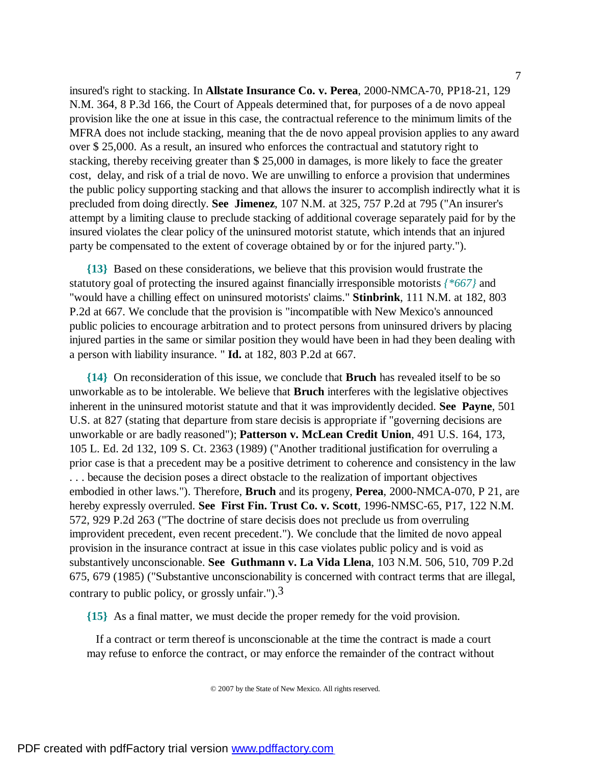insured's right to stacking. In **Allstate Insurance Co. v. Perea**, 2000-NMCA-70, PP18-21, 129 N.M. 364, 8 P.3d 166, the Court of Appeals determined that, for purposes of a de novo appeal provision like the one at issue in this case, the contractual reference to the minimum limits of the MFRA does not include stacking, meaning that the de novo appeal provision applies to any award over \$ 25,000. As a result, an insured who enforces the contractual and statutory right to stacking, thereby receiving greater than \$ 25,000 in damages, is more likely to face the greater cost, delay, and risk of a trial de novo. We are unwilling to enforce a provision that undermines the public policy supporting stacking and that allows the insurer to accomplish indirectly what it is precluded from doing directly. **See Jimenez**, 107 N.M. at 325, 757 P.2d at 795 ("An insurer's attempt by a limiting clause to preclude stacking of additional coverage separately paid for by the

**{13}** Based on these considerations, we believe that this provision would frustrate the statutory goal of protecting the insured against financially irresponsible motorists *{\*667}* and "would have a chilling effect on uninsured motorists' claims." **Stinbrink**, 111 N.M. at 182, 803 P.2d at 667. We conclude that the provision is "incompatible with New Mexico's announced public policies to encourage arbitration and to protect persons from uninsured drivers by placing injured parties in the same or similar position they would have been in had they been dealing with a person with liability insurance. " **Id.** at 182, 803 P.2d at 667.

insured violates the clear policy of the uninsured motorist statute, which intends that an injured

party be compensated to the extent of coverage obtained by or for the injured party.").

**{14}** On reconsideration of this issue, we conclude that **Bruch** has revealed itself to be so unworkable as to be intolerable. We believe that **Bruch** interferes with the legislative objectives inherent in the uninsured motorist statute and that it was improvidently decided. **See Payne**, 501 U.S. at 827 (stating that departure from stare decisis is appropriate if "governing decisions are unworkable or are badly reasoned"); **Patterson v. McLean Credit Union**, 491 U.S. 164, 173, 105 L. Ed. 2d 132, 109 S. Ct. 2363 (1989) ("Another traditional justification for overruling a prior case is that a precedent may be a positive detriment to coherence and consistency in the law . . . because the decision poses a direct obstacle to the realization of important objectives embodied in other laws."). Therefore, **Bruch** and its progeny, **Perea**, 2000-NMCA-070, P 21, are hereby expressly overruled. **See First Fin. Trust Co. v. Scott**, 1996-NMSC-65, P17, 122 N.M. 572, 929 P.2d 263 ("The doctrine of stare decisis does not preclude us from overruling improvident precedent, even recent precedent."). We conclude that the limited de novo appeal provision in the insurance contract at issue in this case violates public policy and is void as substantively unconscionable. **See Guthmann v. La Vida Llena**, 103 N.M. 506, 510, 709 P.2d 675, 679 (1985) ("Substantive unconscionability is concerned with contract terms that are illegal, contrary to public policy, or grossly unfair.").  $3$ 

**{15}** As a final matter, we must decide the proper remedy for the void provision.

 If a contract or term thereof is unconscionable at the time the contract is made a court may refuse to enforce the contract, or may enforce the remainder of the contract without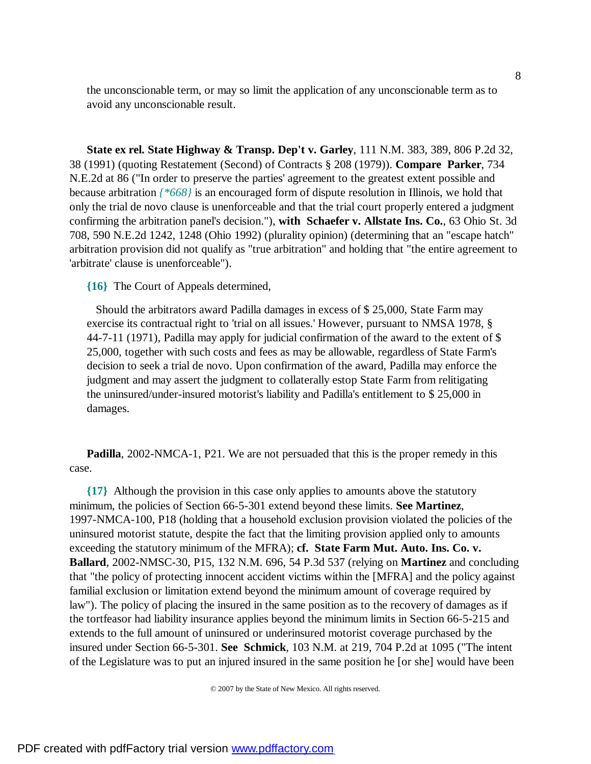the unconscionable term, or may so limit the application of any unconscionable term as to avoid any unconscionable result.

**State ex rel. State Highway & Transp. Dep't v. Garley**, 111 N.M. 383, 389, 806 P.2d 32, 38 (1991) (quoting Restatement (Second) of Contracts § 208 (1979)). **Compare Parker**, 734 N.E.2d at 86 ("In order to preserve the parties' agreement to the greatest extent possible and because arbitration *{\*668}* is an encouraged form of dispute resolution in Illinois, we hold that only the trial de novo clause is unenforceable and that the trial court properly entered a judgment confirming the arbitration panel's decision."), **with Schaefer v. Allstate Ins. Co.**, 63 Ohio St. 3d 708, 590 N.E.2d 1242, 1248 (Ohio 1992) (plurality opinion) (determining that an "escape hatch" arbitration provision did not qualify as "true arbitration" and holding that "the entire agreement to 'arbitrate' clause is unenforceable").

**{16}** The Court of Appeals determined,

 Should the arbitrators award Padilla damages in excess of \$ 25,000, State Farm may exercise its contractual right to 'trial on all issues.' However, pursuant to NMSA 1978, § 44-7-11 (1971), Padilla may apply for judicial confirmation of the award to the extent of \$ 25,000, together with such costs and fees as may be allowable, regardless of State Farm's decision to seek a trial de novo. Upon confirmation of the award, Padilla may enforce the judgment and may assert the judgment to collaterally estop State Farm from relitigating the uninsured/under-insured motorist's liability and Padilla's entitlement to \$ 25,000 in damages.

**Padilla**, 2002-NMCA-1, P21. We are not persuaded that this is the proper remedy in this case.

**{17}** Although the provision in this case only applies to amounts above the statutory minimum, the policies of Section 66-5-301 extend beyond these limits. **See Martinez**, 1997-NMCA-100, P18 (holding that a household exclusion provision violated the policies of the uninsured motorist statute, despite the fact that the limiting provision applied only to amounts exceeding the statutory minimum of the MFRA); **cf. State Farm Mut. Auto. Ins. Co. v. Ballard**, 2002-NMSC-30, P15, 132 N.M. 696, 54 P.3d 537 (relying on **Martinez** and concluding that "the policy of protecting innocent accident victims within the [MFRA] and the policy against familial exclusion or limitation extend beyond the minimum amount of coverage required by law"). The policy of placing the insured in the same position as to the recovery of damages as if the tortfeasor had liability insurance applies beyond the minimum limits in Section 66-5-215 and extends to the full amount of uninsured or underinsured motorist coverage purchased by the insured under Section 66-5-301. **See Schmick**, 103 N.M. at 219, 704 P.2d at 1095 ("The intent of the Legislature was to put an injured insured in the same position he [or she] would have been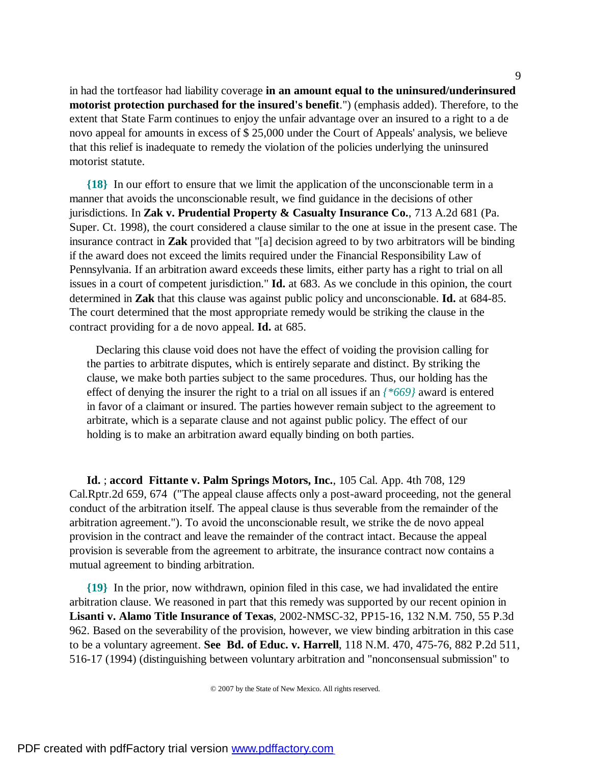in had the tortfeasor had liability coverage **in an amount equal to the uninsured/underinsured motorist protection purchased for the insured's benefit**.") (emphasis added). Therefore, to the extent that State Farm continues to enjoy the unfair advantage over an insured to a right to a de novo appeal for amounts in excess of \$ 25,000 under the Court of Appeals' analysis, we believe that this relief is inadequate to remedy the violation of the policies underlying the uninsured motorist statute.

**{18}** In our effort to ensure that we limit the application of the unconscionable term in a manner that avoids the unconscionable result, we find guidance in the decisions of other jurisdictions. In **Zak v. Prudential Property & Casualty Insurance Co.**, 713 A.2d 681 (Pa. Super. Ct. 1998), the court considered a clause similar to the one at issue in the present case. The insurance contract in **Zak** provided that "[a] decision agreed to by two arbitrators will be binding if the award does not exceed the limits required under the Financial Responsibility Law of Pennsylvania. If an arbitration award exceeds these limits, either party has a right to trial on all issues in a court of competent jurisdiction." **Id.** at 683. As we conclude in this opinion, the court determined in **Zak** that this clause was against public policy and unconscionable. **Id.** at 684-85. The court determined that the most appropriate remedy would be striking the clause in the contract providing for a de novo appeal. **Id.** at 685.

 Declaring this clause void does not have the effect of voiding the provision calling for the parties to arbitrate disputes, which is entirely separate and distinct. By striking the clause, we make both parties subject to the same procedures. Thus, our holding has the effect of denying the insurer the right to a trial on all issues if an *{\*669}* award is entered in favor of a claimant or insured. The parties however remain subject to the agreement to arbitrate, which is a separate clause and not against public policy. The effect of our holding is to make an arbitration award equally binding on both parties.

**Id.** ; **accord Fittante v. Palm Springs Motors, Inc.**, 105 Cal. App. 4th 708, 129 Cal.Rptr.2d 659, 674 ("The appeal clause affects only a post-award proceeding, not the general conduct of the arbitration itself. The appeal clause is thus severable from the remainder of the arbitration agreement."). To avoid the unconscionable result, we strike the de novo appeal provision in the contract and leave the remainder of the contract intact. Because the appeal provision is severable from the agreement to arbitrate, the insurance contract now contains a mutual agreement to binding arbitration.

**{19}** In the prior, now withdrawn, opinion filed in this case, we had invalidated the entire arbitration clause. We reasoned in part that this remedy was supported by our recent opinion in **Lisanti v. Alamo Title Insurance of Texas**, 2002-NMSC-32, PP15-16, 132 N.M. 750, 55 P.3d 962. Based on the severability of the provision, however, we view binding arbitration in this case to be a voluntary agreement. **See Bd. of Educ. v. Harrell**, 118 N.M. 470, 475-76, 882 P.2d 511, 516-17 (1994) (distinguishing between voluntary arbitration and "nonconsensual submission" to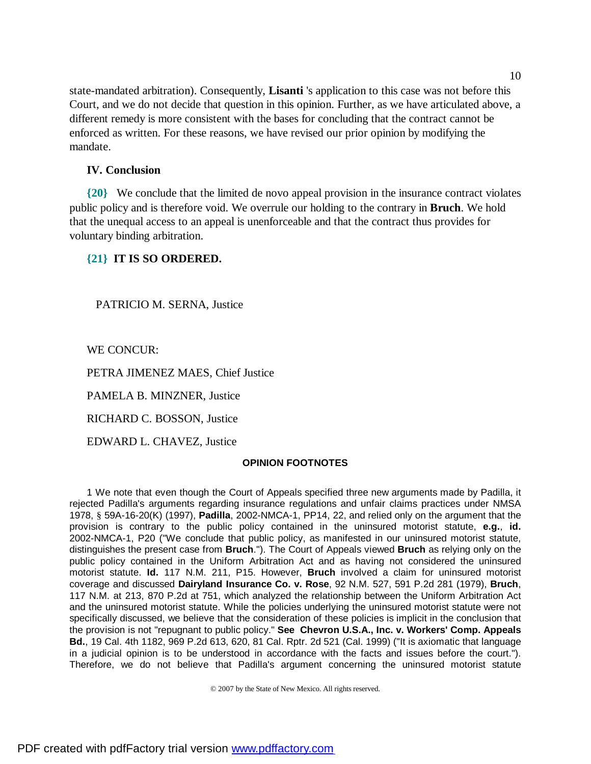state-mandated arbitration). Consequently, **Lisanti** 's application to this case was not before this Court, and we do not decide that question in this opinion. Further, as we have articulated above, a different remedy is more consistent with the bases for concluding that the contract cannot be enforced as written. For these reasons, we have revised our prior opinion by modifying the mandate.

# **IV. Conclusion**

**{20}** We conclude that the limited de novo appeal provision in the insurance contract violates public policy and is therefore void. We overrule our holding to the contrary in **Bruch**. We hold that the unequal access to an appeal is unenforceable and that the contract thus provides for voluntary binding arbitration.

# **{21} IT IS SO ORDERED.**

PATRICIO M. SERNA, Justice

WE CONCUR:

PETRA JIMENEZ MAES, Chief Justice

PAMELA B. MINZNER, Justice

RICHARD C. BOSSON, Justice

EDWARD L. CHAVEZ, Justice

### **OPINION FOOTNOTES**

1 We note that even though the Court of Appeals specified three new arguments made by Padilla, it rejected Padilla's arguments regarding insurance regulations and unfair claims practices under NMSA 1978, § 59A-16-20(K) (1997), **Padilla**, 2002-NMCA-1, PP14, 22, and relied only on the argument that the provision is contrary to the public policy contained in the uninsured motorist statute, **e.g.**, **id.** 2002-NMCA-1, P20 ("We conclude that public policy, as manifested in our uninsured motorist statute, distinguishes the present case from **Bruch**."). The Court of Appeals viewed **Bruch** as relying only on the public policy contained in the Uniform Arbitration Act and as having not considered the uninsured motorist statute. **Id.** 117 N.M. 211, P15. However, **Bruch** involved a claim for uninsured motorist coverage and discussed **Dairyland Insurance Co. v. Rose**, 92 N.M. 527, 591 P.2d 281 (1979), **Bruch**, 117 N.M. at 213, 870 P.2d at 751, which analyzed the relationship between the Uniform Arbitration Act and the uninsured motorist statute. While the policies underlying the uninsured motorist statute were not specifically discussed, we believe that the consideration of these policies is implicit in the conclusion that the provision is not "repugnant to public policy." **See Chevron U.S.A., Inc. v. Workers' Comp. Appeals Bd.**, 19 Cal. 4th 1182, 969 P.2d 613, 620, 81 Cal. Rptr. 2d 521 (Cal. 1999) ("It is axiomatic that language in a judicial opinion is to be understood in accordance with the facts and issues before the court."). Therefore, we do not believe that Padilla's argument concerning the uninsured motorist statute